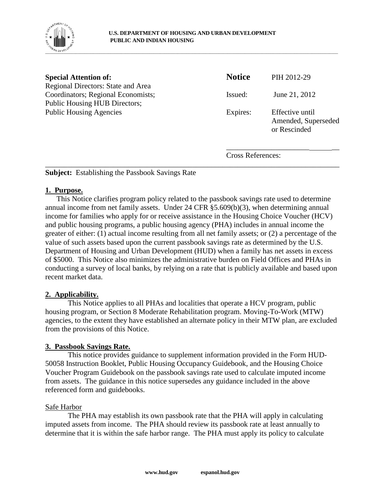

| <b>Special Attention of:</b>                                             | <b>Notice</b>            | PIH 2012-29                                            |
|--------------------------------------------------------------------------|--------------------------|--------------------------------------------------------|
| Regional Directors: State and Area<br>Coordinators; Regional Economists; | Issued:                  | June 21, 2012                                          |
| Public Housing HUB Directors;                                            |                          |                                                        |
| <b>Public Housing Agencies</b>                                           | Expires:                 | Effective until<br>Amended, Superseded<br>or Rescinded |
|                                                                          | <b>Cross References:</b> |                                                        |

\_\_\_\_\_\_\_\_\_\_\_\_\_\_\_\_\_\_\_\_\_\_\_\_\_\_\_\_\_\_\_\_\_\_\_\_\_\_\_\_\_\_\_\_\_\_\_\_\_\_\_\_\_\_\_\_\_\_\_\_\_\_\_\_\_\_\_\_\_\_\_\_\_\_\_\_\_\_

**Subject:** Establishing the Passbook Savings Rate

# **1. Purpose.**

This Notice clarifies program policy related to the passbook savings rate used to determine annual income from net family assets. Under 24 CFR §5.609(b)(3), when determining annual income for families who apply for or receive assistance in the Housing Choice Voucher (HCV) and public housing programs, a public housing agency (PHA) includes in annual income the greater of either: (1) actual income resulting from all net family assets; or (2) a percentage of the value of such assets based upon the current passbook savings rate as determined by the U.S. Department of Housing and Urban Development (HUD) when a family has net assets in excess of \$5000. This Notice also minimizes the administrative burden on Field Offices and PHAs in conducting a survey of local banks, by relying on a rate that is publicly available and based upon recent market data.

# **2. Applicability.**

This Notice applies to all PHAs and localities that operate a HCV program, public housing program, or Section 8 Moderate Rehabilitation program. Moving-To-Work (MTW) agencies, to the extent they have established an alternate policy in their MTW plan, are excluded from the provisions of this Notice.

## **3. Passbook Savings Rate.**

This notice provides guidance to supplement information provided in the Form HUD-50058 Instruction Booklet, Public Housing Occupancy Guidebook, and the Housing Choice Voucher Program Guidebook on the passbook savings rate used to calculate imputed income from assets. The guidance in this notice supersedes any guidance included in the above referenced form and guidebooks.

## Safe Harbor

The PHA may establish its own passbook rate that the PHA will apply in calculating imputed assets from income. The PHA should review its passbook rate at least annually to determine that it is within the safe harbor range. The PHA must apply its policy to calculate